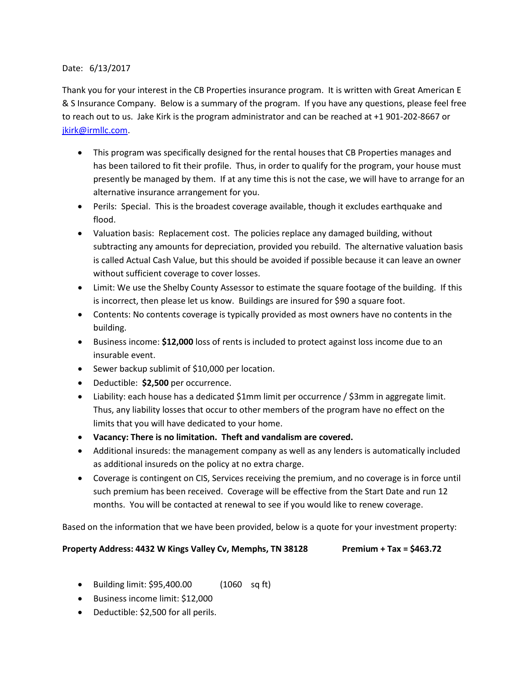## Date: 6/13/2017

Thank you for your interest in the CB Properties insurance program. It is written with Great American E & S Insurance Company. Below is a summary of the program. If you have any questions, please feel free to reach out to us. Jake Kirk is the program administrator and can be reached at +1 901-202-8667 or [jkirk@irmllc.com.](mailto:jkirk@irmllc.com)

- This program was specifically designed for the rental houses that CB Properties manages and has been tailored to fit their profile. Thus, in order to qualify for the program, your house must presently be managed by them. If at any time this is not the case, we will have to arrange for an alternative insurance arrangement for you.
- Perils: Special. This is the broadest coverage available, though it excludes earthquake and flood.
- Valuation basis: Replacement cost. The policies replace any damaged building, without subtracting any amounts for depreciation, provided you rebuild. The alternative valuation basis is called Actual Cash Value, but this should be avoided if possible because it can leave an owner without sufficient coverage to cover losses.
- Limit: We use the Shelby County Assessor to estimate the square footage of the building. If this is incorrect, then please let us know. Buildings are insured for \$90 a square foot.
- Contents: No contents coverage is typically provided as most owners have no contents in the building.
- Business income: **\$12,000** loss of rents is included to protect against loss income due to an insurable event.
- Sewer backup sublimit of \$10,000 per location.
- Deductible: **\$2,500** per occurrence.
- Liability: each house has a dedicated \$1mm limit per occurrence / \$3mm in aggregate limit. Thus, any liability losses that occur to other members of the program have no effect on the limits that you will have dedicated to your home.
- **Vacancy: There is no limitation. Theft and vandalism are covered.**
- Additional insureds: the management company as well as any lenders is automatically included as additional insureds on the policy at no extra charge.
- Coverage is contingent on CIS, Services receiving the premium, and no coverage is in force until such premium has been received. Coverage will be effective from the Start Date and run 12 months. You will be contacted at renewal to see if you would like to renew coverage.

Based on the information that we have been provided, below is a quote for your investment property:

## **Property Address: 4432 W Kings Valley Cv, Memphs, TN 38128 Premium + Tax = \$463.72**

- Building limit: \$95,400.00 (1060 sq ft)
- Business income limit: \$12,000
- Deductible: \$2,500 for all perils.